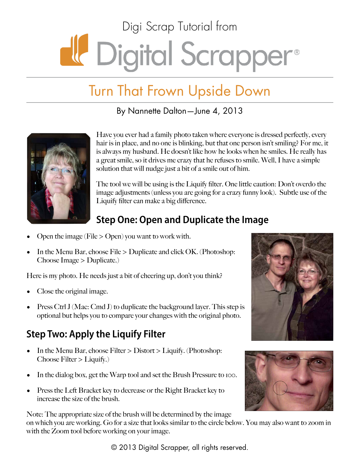# Digi Scrap Tutorial from de Digital Scrapper®

## Turn That Frown Upside Down

By Nannette Dalton—June 4, 2013



Have you ever had a family photo taken where everyone is dressed perfectly, every hair is in place, and no one is blinking, but that one person isn't smiling? For me, it is always my husband. He doesn't like how he looks when he smiles. He really has a great smile, so it drives me crazy that he refuses to smile. Well, I have a simple solution that will nudge just a bit of a smile out of him.

The tool we will be using is the Liquify filter. One little caution: Don't overdo the image adjustments (unless you are going for a crazy funny look). Subtle use of the Liquify filter can make a big difference.

### **Step One: Open and Duplicate the Image**

- Open the image (File  $>$  Open) you want to work with.
- In the Menu Bar, choose File > Duplicate and click OK. (Photoshop: Choose Image > Duplicate.)

Here is my photo. He needs just a bit of cheering up, don't you think?

- Close the original image.
- Press Ctrl J (Mac: Cmd J) to duplicate the background layer. This step is optional but helps you to compare your changes with the original photo.

### **Step Two: Apply the Liquify Filter**

- In the Menu Bar, choose Filter > Distort > Liquify. (Photoshop: Choose Filter > Liquify.)
- In the dialog box, get the Warp tool and set the Brush Pressure to 100.
- Press the Left Bracket key to decrease or the Right Bracket key to increase the size of the brush.

Note: The appropriate size of the brush will be determined by the image on which you are working. Go for a size that looks similar to the circle below. You may also want to zoom in with the Zoom tool before working on your image.

© 2013 Digital Scrapper, all rights reserved.